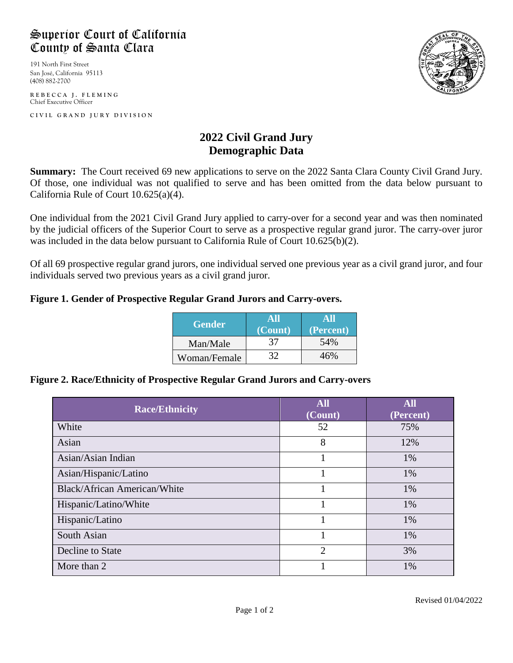# Superior Court of California County of Santa Clara

191 North First Street San José, California 95113 (408) 882-2700

**REBECCA J. FLEMING** Chief Executive Officer

**CIVIL GRAND JURY DIVISIO N**



## **2022 Civil Grand Jury Demographic Data**

**Summary:** The Court received 69 new applications to serve on the 2022 Santa Clara County Civil Grand Jury. Of those, one individual was not qualified to serve and has been omitted from the data below pursuant to California Rule of Court 10.625(a)(4).

One individual from the 2021 Civil Grand Jury applied to carry-over for a second year and was then nominated by the judicial officers of the Superior Court to serve as a prospective regular grand juror. The carry-over juror was included in the data below pursuant to California Rule of Court 10.625(b)(2).

Of all 69 prospective regular grand jurors, one individual served one previous year as a civil grand juror, and four individuals served two previous years as a civil grand juror.

### **Figure 1. Gender of Prospective Regular Grand Jurors and Carry-overs.**

| <b>Gender</b> | (Count) | (Percent) |
|---------------|---------|-----------|
| Man/Male      | 37      | 54%       |
| Woman/Female  |         |           |

#### **Figure 2. Race/Ethnicity of Prospective Regular Grand Jurors and Carry-overs**

| <b>Race/Ethnicity</b>               | <b>All</b><br>(Count) | <b>All</b><br>(Percent) |
|-------------------------------------|-----------------------|-------------------------|
| White                               | 52                    | 75%                     |
| Asian                               | 8                     | 12%                     |
| Asian/Asian Indian                  |                       | 1%                      |
| Asian/Hispanic/Latino               |                       | 1%                      |
| <b>Black/African American/White</b> |                       | 1%                      |
| Hispanic/Latino/White               |                       | 1%                      |
| Hispanic/Latino                     |                       | 1%                      |
| South Asian                         |                       | 1%                      |
| Decline to State                    | $\overline{2}$        | 3%                      |
| More than 2                         |                       | 1%                      |